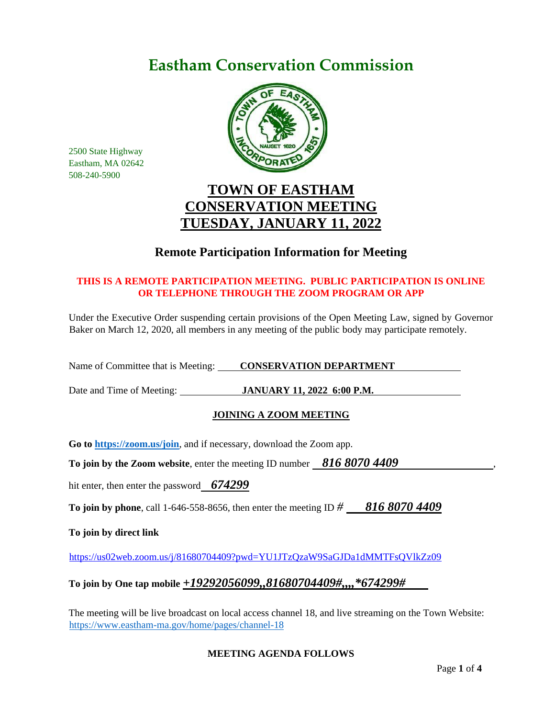# **Eastham Conservation Commission**



2500 State Highway Eastham, MA 02642 508-240-5900

### **TOWN OF EASTHAM CONSERVATION MEETING TUESDAY, JANUARY 11, 2022**

### **Remote Participation Information for Meeting**

#### **THIS IS A REMOTE PARTICIPATION MEETING. PUBLIC PARTICIPATION IS ONLINE OR TELEPHONE THROUGH THE ZOOM PROGRAM OR APP**

Under the Executive Order suspending certain provisions of the Open Meeting Law, signed by Governor Baker on March 12, 2020, all members in any meeting of the public body may participate remotely.

Name of Committee that is Meeting: **CONSERVATION DEPARTMENT** 

Date and Time of Meeting: **JANUARY 11, 2022 6:00 P.M.** 

#### **JOINING A ZOOM MEETING**

**Go to<https://zoom.us/join>**, and if necessary, download the Zoom app.

**To join by the Zoom website, enter the meeting ID number 816 8070 4409** 

hit enter, then enter the password *674299*

**To join by phone**, call 1-646-558-8656, then enter the meeting ID *# 816 8070 4409*

**To join by direct link**

<https://us02web.zoom.us/j/81680704409?pwd=YU1JTzQzaW9SaGJDa1dMMTFsQVlkZz09>

#### **To join by One tap mobile** *+19292056099,,81680704409#,,,,\*674299#*

The meeting will be live broadcast on local access channel 18, and live streaming on the Town Website: <https://www.eastham-ma.gov/home/pages/channel-18>

#### **MEETING AGENDA FOLLOWS**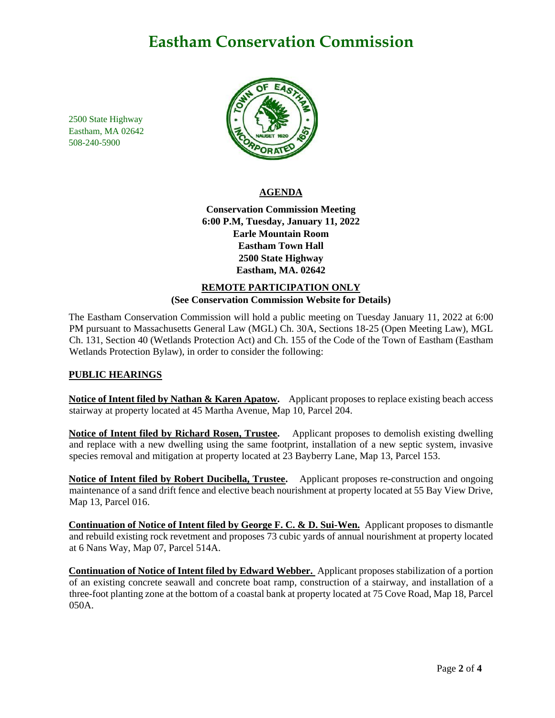## **Eastham Conservation Commission**

2500 State Highway Eastham, MA 02642 508-240-5900



#### **AGENDA**

**Conservation Commission Meeting 6:00 P.M, Tuesday, January 11, 2022 Earle Mountain Room Eastham Town Hall 2500 State Highway Eastham, MA. 02642**

#### **REMOTE PARTICIPATION ONLY (See Conservation Commission Website for Details)**

The Eastham Conservation Commission will hold a public meeting on Tuesday January 11, 2022 at 6:00 PM pursuant to Massachusetts General Law (MGL) Ch. 30A, Sections 18-25 (Open Meeting Law), MGL Ch. 131, Section 40 (Wetlands Protection Act) and Ch. 155 of the Code of the Town of Eastham (Eastham Wetlands Protection Bylaw), in order to consider the following:

#### **PUBLIC HEARINGS**

**Notice of Intent filed by Nathan & Karen Apatow.** Applicant proposes to replace existing beach access stairway at property located at 45 Martha Avenue, Map 10, Parcel 204.

**Notice of Intent filed by Richard Rosen, Trustee.** Applicant proposes to demolish existing dwelling and replace with a new dwelling using the same footprint, installation of a new septic system, invasive species removal and mitigation at property located at 23 Bayberry Lane, Map 13, Parcel 153.

**Notice of Intent filed by Robert Ducibella, Trustee.** Applicant proposes re-construction and ongoing maintenance of a sand drift fence and elective beach nourishment at property located at 55 Bay View Drive, Map 13, Parcel 016.

**Continuation of Notice of Intent filed by George F. C. & D. Sui-Wen.** Applicant proposes to dismantle and rebuild existing rock revetment and proposes 73 cubic yards of annual nourishment at property located at 6 Nans Way, Map 07, Parcel 514A.

**Continuation of Notice of Intent filed by Edward Webber.** Applicant proposes stabilization of a portion of an existing concrete seawall and concrete boat ramp, construction of a stairway, and installation of a three-foot planting zone at the bottom of a coastal bank at property located at 75 Cove Road, Map 18, Parcel 050A.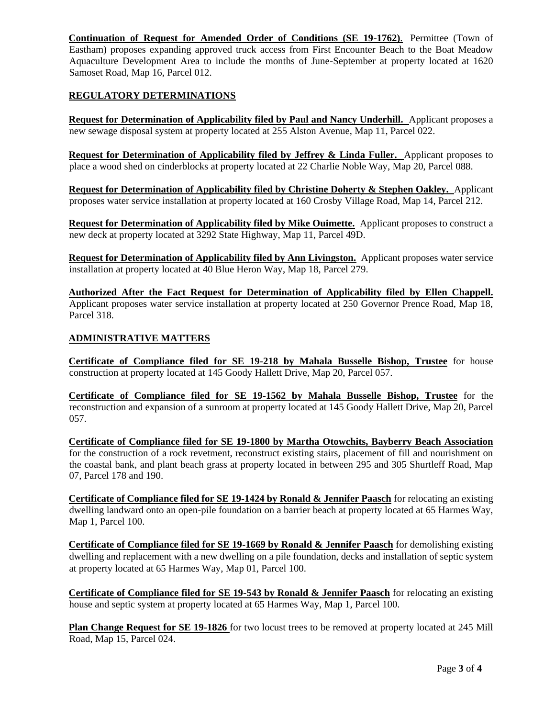**Continuation of Request for Amended Order of Conditions (SE 19-1762)**. Permittee (Town of Eastham) proposes expanding approved truck access from First Encounter Beach to the Boat Meadow Aquaculture Development Area to include the months of June-September at property located at 1620 Samoset Road, Map 16, Parcel 012.

#### **REGULATORY DETERMINATIONS**

**Request for Determination of Applicability filed by Paul and Nancy Underhill.** Applicant proposes a new sewage disposal system at property located at 255 Alston Avenue, Map 11, Parcel 022.

**Request for Determination of Applicability filed by Jeffrey & Linda Fuller.** Applicant proposes to place a wood shed on cinderblocks at property located at 22 Charlie Noble Way, Map 20, Parcel 088.

**Request for Determination of Applicability filed by Christine Doherty & Stephen Oakley.** Applicant proposes water service installation at property located at 160 Crosby Village Road, Map 14, Parcel 212.

**Request for Determination of Applicability filed by Mike Ouimette.** Applicant proposes to construct a new deck at property located at 3292 State Highway, Map 11, Parcel 49D.

**Request for Determination of Applicability filed by Ann Livingston.** Applicant proposes water service installation at property located at 40 Blue Heron Way, Map 18, Parcel 279.

**Authorized After the Fact Request for Determination of Applicability filed by Ellen Chappell.** Applicant proposes water service installation at property located at 250 Governor Prence Road, Map 18, Parcel 318.

#### **ADMINISTRATIVE MATTERS**

**Certificate of Compliance filed for SE 19-218 by Mahala Busselle Bishop, Trustee** for house construction at property located at 145 Goody Hallett Drive, Map 20, Parcel 057.

**Certificate of Compliance filed for SE 19-1562 by Mahala Busselle Bishop, Trustee** for the reconstruction and expansion of a sunroom at property located at 145 Goody Hallett Drive, Map 20, Parcel 057.

**Certificate of Compliance filed for SE 19-1800 by Martha Otowchits, Bayberry Beach Association** for the construction of a rock revetment, reconstruct existing stairs, placement of fill and nourishment on the coastal bank, and plant beach grass at property located in between 295 and 305 Shurtleff Road, Map 07, Parcel 178 and 190.

**Certificate of Compliance filed for SE 19-1424 by Ronald & Jennifer Paasch** for relocating an existing dwelling landward onto an open-pile foundation on a barrier beach at property located at 65 Harmes Way, Map 1, Parcel 100.

**Certificate of Compliance filed for SE 19-1669 by Ronald & Jennifer Paasch** for demolishing existing dwelling and replacement with a new dwelling on a pile foundation, decks and installation of septic system at property located at 65 Harmes Way, Map 01, Parcel 100.

**Certificate of Compliance filed for SE 19-543 by Ronald & Jennifer Paasch** for relocating an existing house and septic system at property located at 65 Harmes Way, Map 1, Parcel 100.

**Plan Change Request for SE 19-1826** for two locust trees to be removed at property located at 245 Mill Road, Map 15, Parcel 024.